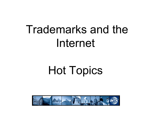# Trademarks and the Internet

# Hot Topics

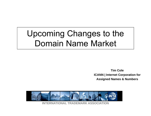# Upcoming Changes to the Domain Name Market

**Tim ColeICANN | Internet Corporation for Assigned Names & Numbers** 

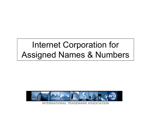# Internet Corporation for Assigned Names & Numbers

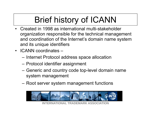# Brief history of ICANN

- • Created in 1998 as international multi-stakeholder organization responsible for the technical management and coordination of the Internet's domain name system and its unique identifiers
- ICANN coordinates –
	- –– Internet Protocol address space allocation
	- –– Protocol identifier assignment
	- –– Generic and country code top-level domain name system management
	- –Root server system management functions



**INTERNATIONAL TRADEMARK ASSOCIATION**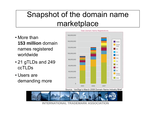### Snapshot of the domain name marketplace

- More than **153 million** domain names registered worldwide
- 21 gTLDs and 249 ccTLDs
- Users are demanding more



Source: VeriSign's March 2008 Domain Name Industry Brief



**INTERNATIONAL TRADEMARK ASSOCIATION**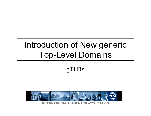## Introduction of New generic Top-Level Domains

#### gTLDs

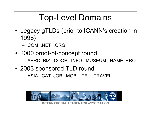# Top-Level Domains

- • Legacy gTLDs (prior to ICANN's creation in 1998)
	- .COM .NET .ORG
- • 2000 proof-of-concept round – .AERO .BIZ .COOP .INFO .MUSEUM .NAME .PRO
- 2003 sponsored TLD round
	- .ASIA .CAT .JOB .MOBI .TEL .TRAVEL

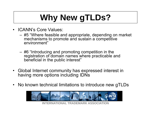# **Why New gTLDs?**

- $\bullet$  ICANN's Core Values:
	- – #5 "Where feasible and appropriate, depending on market mechanisms to promote and sustain a competitive environment"
	- – #6 "Introducing and promoting competition in the registration of domain names where practicable and beneficial in the public interest"
- $\bullet$  Global Internet community has expressed interest in having more options including IDNs
- •No known technical limitations to introduce new gTLDs

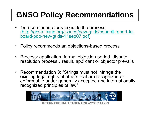# **GNSO Policy Recommendations**

- 19 recommendations to guide the process ([http://gnso.icann.org/issues/new-gtlds/council-report-to](http://gnso.icann.org/issues/new-gtlds/council-report-to-board-pdp-new-gtlds-11sep07.pdf)[board-pdp-new-gtlds-11sep07.pdf](http://gnso.icann.org/issues/new-gtlds/council-report-to-board-pdp-new-gtlds-11sep07.pdf) )
- Policy recommends an objections-based process
- Process: application, formal objection period, dispute resolution process…result, applicant or objector prevails
- Recommendation 3: "Strings must not infringe the existing legal rights of others that are recognized or enforceable under generally accepted and internationally recognized principles of law"



**INTERNATIONAL TRADEMARK ASSOCIATION**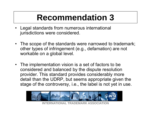# **Recommendation 3**

- Legal standards from numerous international jurisdictions were considered.
- The scope of the standards were narrowed to trademark; other types of infringement (e.g., defamation) are not workable on a global level.
- The implementation vision is a set of factors to be considered and balanced by the dispute resolution provider. This standard provides considerably more detail than the UDRP, but seems appropriate given the stage of the controversy, i.e., the label is not yet in use.



**IONAL TRADEMARK ASSOC**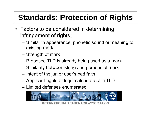# **Standards: Protection of Rights**

- Factors to be considered in determining infringement of rights:
	- Similar in appearance, phonetic sound or meaning to existing mark
	- –– Strength of mark
	- –– Proposed TLD is already being used as a mark
	- –– Similarity between string and portions of mark
	- $-$  Intent of the junior user's bad faith
	- Applicant rights or legitimate interest in TLD
	- Limited defenses enumerated



**IONAL TRADEMARK ASSOCI**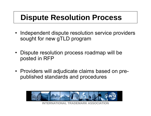### **Dispute Resolution Process**

- Independent dispute resolution service providers sought for new gTLD program
- Dispute resolution process roadmap will be posted in RFP
- Providers will adjudicate claims based on prepublished standards and procedures

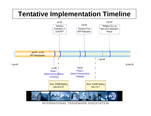#### **Tentative Implementation Timeline**

![](_page_12_Figure_1.jpeg)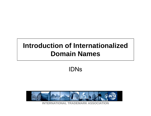#### **Introduction of Internationalized Domain Names**

#### IDNs

![](_page_13_Picture_2.jpeg)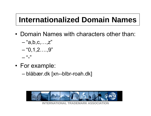### **Internationalized Domain Names**

- Domain Names with characters other than:
	- "a,b,c,…,z" "0,1,2….,9" - 66 - 99
- For example:
	- blåbær.dk [xn--blbr-roah.dk]

![](_page_14_Picture_5.jpeg)

**INTERNATIONAL TRADEMARK ASSOCIATION**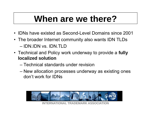# **When are we there?**

- IDNs have existed as Second-Level Domains since 2001
- The broader Internet community also wants IDN TLDs – IDN.IDN vs. IDN.TLD
- Technical and Policy work underway to provide a **fully localized solution**
	- Technical standards under revision
	- and the state of the New allocation processes underway as existing ones don't work for IDNs

![](_page_15_Picture_6.jpeg)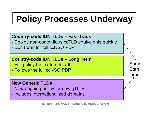# **Policy Processes Underway**

#### **Country-code IDN TLDs – Fast Track**

- Deploy non-contentious ccTLD equivalents quickly
- Don't wait for full ccNSO PDP

#### **Country-code IDN TLDs – Long Term**

- Full policy that caters for all
- Follows the full ccNSO PDP

#### **New Generic TLDs**

- New ongoing policy for new gTLDs
- Includes internationalized domains

Same

**Start** 

Time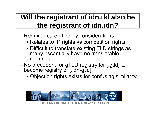#### **Will the registrant of idn.tld also be the registrant of idn.idn?**

- Requires careful policy considerations
	- Relates to IP rights vs competition rights
	- Difficult to translate existing TLD strings as many essentially have no translatable meaning
- No precedent for gTLD registry for [.gtld] to become registry of [.idn-gtld]
	- Objection rights exists for confusing similarity

![](_page_17_Picture_6.jpeg)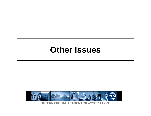### **Other Issues**

![](_page_18_Picture_1.jpeg)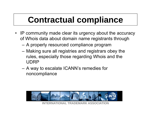# **Contractual compliance**

- IP community made clear its urgency about the accuracy of Whois data about domain name registrants through
	- A properly resourced compliance program
	- Making sure all registries and registrars obey the rules, especially those regarding Whois and the UDRP
	- A way to escalate ICANN's remedies for noncompliance

![](_page_19_Picture_5.jpeg)

**INTERNATIONAL TRADEMARK ASSOCIATION**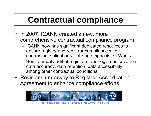# **Contractual compliance**

- In 2007, ICANN created a new, more comprehensive contractual compliance program
	- $-$  ICANN now has significant dedicated resources to  $\,$ ensure registry and registrar compliance with contractual obligations – strong emphasis on Whois
	- Semi-annual audit of registrars and registries covering data accuracy, data retention, data accessibility, among other contractual conditions
- Revisions underway to Registrar Accreditation Agreement to enhance compliance efforts

![](_page_20_Picture_5.jpeg)

**IONAL TRADEMARK ASSOC**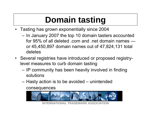# **Domain tasting**

- • Tasting has grown exponentially since 2004
	- $-$  In January 2007 the top 10 domain tasters accounted for 95% of all deleted .com and .net domain names or 45,450,897 domain names out of 47,824,131 total deletes
- Several registries have introduced or proposed registrylevel measures to curb domain tasting
	- $-$  IP community has been heavily involved in finding solutions
	- Hasty action is to be avoided unintended consequences

![](_page_21_Picture_6.jpeg)

**INTERNATIONAL TRADEMARK ASSOCIAT**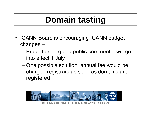# **Domain tasting**

- ICANN Board is encouraging ICANN budget changes –
	- Budget undergoing public comment will go into effect 1 July
	- One possible solution: annual fee would be charged registrars as soon as domains are registered

![](_page_22_Picture_4.jpeg)